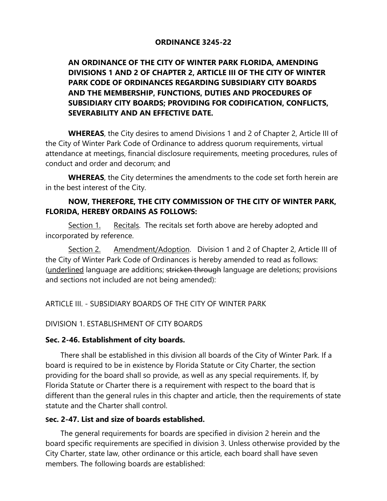#### **ORDINANCE 3245-22**

## **AN ORDINANCE OF THE CITY OF WINTER PARK FLORIDA, AMENDING DIVISIONS 1 AND 2 OF CHAPTER 2, ARTICLE III OF THE CITY OF WINTER PARK CODE OF ORDINANCES REGARDING SUBSIDIARY CITY BOARDS AND THE MEMBERSHIP, FUNCTIONS, DUTIES AND PROCEDURES OF SUBSIDIARY CITY BOARDS; PROVIDING FOR CODIFICATION, CONFLICTS, SEVERABILITY AND AN EFFECTIVE DATE.**

**WHEREAS**, the City desires to amend Divisions 1 and 2 of Chapter 2, Article III of the City of Winter Park Code of Ordinance to address quorum requirements, virtual attendance at meetings, financial disclosure requirements, meeting procedures, rules of conduct and order and decorum; and

**WHEREAS**, the City determines the amendments to the code set forth herein are in the best interest of the City.

### **NOW, THEREFORE, THE CITY COMMISSION OF THE CITY OF WINTER PARK, FLORIDA, HEREBY ORDAINS AS FOLLOWS:**

Section 1. Recitals. The recitals set forth above are hereby adopted and incorporated by reference.

Section 2. Amendment/Adoption. Division 1 and 2 of Chapter 2, Article III of the City of Winter Park Code of Ordinances is hereby amended to read as follows: (underlined language are additions; stricken through language are deletions; provisions and sections not included are not being amended):

ARTICLE III. - SUBSIDIARY BOARDS OF THE CITY OF WINTER PARK

#### DIVISION 1. ESTABLISHMENT OF CITY BOARDS

#### **Sec. 2-46. Establishment of city boards.**

There shall be established in this division all boards of the City of Winter Park. If a board is required to be in existence by Florida Statute or City Charter, the section providing for the board shall so provide, as well as any special requirements. If, by Florida Statute or Charter there is a requirement with respect to the board that is different than the general rules in this chapter and article, then the requirements of state statute and the Charter shall control.

#### **Sec. 2-47. List and size of boards established.**

The general requirements for boards are specified in division 2 herein and the board specific requirements are specified in division 3. Unless otherwise provided by the City Charter, state law, other ordinance or this article, each board shall have seven members. The following boards are established: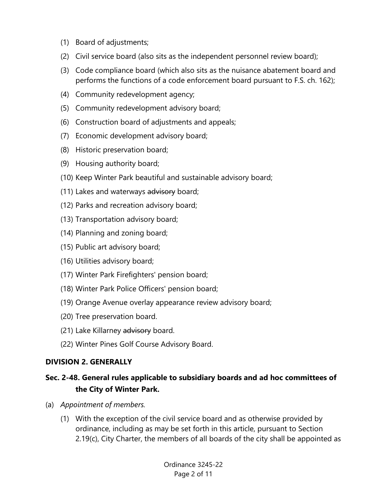- (1) Board of adjustments;
- (2) Civil service board (also sits as the independent personnel review board);
- (3) Code compliance board (which also sits as the nuisance abatement board and performs the functions of a code enforcement board pursuant to F.S. ch. 162);
- (4) Community redevelopment agency;
- (5) Community redevelopment advisory board;
- (6) Construction board of adjustments and appeals;
- (7) Economic development advisory board;
- (8) Historic preservation board;
- (9) Housing authority board;
- (10) Keep Winter Park beautiful and sustainable advisory board;
- (11) Lakes and waterways advisory board;
- (12) Parks and recreation advisory board;
- (13) Transportation advisory board;
- (14) Planning and zoning board;
- (15) Public art advisory board;
- (16) Utilities advisory board;
- (17) Winter Park Firefighters' pension board;
- (18) Winter Park Police Officers' pension board;
- (19) Orange Avenue overlay appearance review advisory board;
- (20) Tree preservation board.
- (21) Lake Killarney advisory board.
- (22) Winter Pines Golf Course Advisory Board.

## **DIVISION 2. GENERALLY**

## **Sec. 2-48. General rules applicable to subsidiary boards and ad hoc committees of the City of Winter Park.**

- (a) *Appointment of members.*
	- (1) With the exception of the civil service board and as otherwise provided by ordinance, including as may be set forth in this article, pursuant to Section 2.19(c), City Charter, the members of all boards of the city shall be appointed as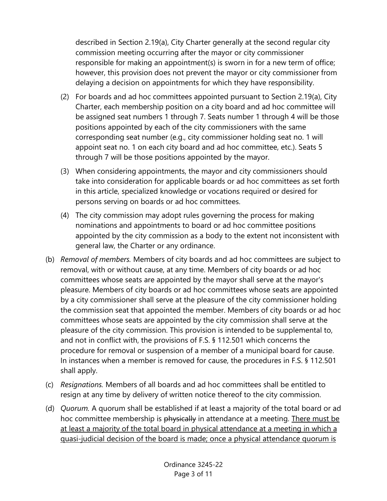described in Section 2.19(a), City Charter generally at the second regular city commission meeting occurring after the mayor or city commissioner responsible for making an appointment(s) is sworn in for a new term of office; however, this provision does not prevent the mayor or city commissioner from delaying a decision on appointments for which they have responsibility.

- (2) For boards and ad hoc committees appointed pursuant to Section 2.19(a), City Charter, each membership position on a city board and ad hoc committee will be assigned seat numbers 1 through 7. Seats number 1 through 4 will be those positions appointed by each of the city commissioners with the same corresponding seat number (e.g., city commissioner holding seat no. 1 will appoint seat no. 1 on each city board and ad hoc committee, etc.). Seats 5 through 7 will be those positions appointed by the mayor.
- (3) When considering appointments, the mayor and city commissioners should take into consideration for applicable boards or ad hoc committees as set forth in this article, specialized knowledge or vocations required or desired for persons serving on boards or ad hoc committees.
- (4) The city commission may adopt rules governing the process for making nominations and appointments to board or ad hoc committee positions appointed by the city commission as a body to the extent not inconsistent with general law, the Charter or any ordinance.
- (b) *Removal of members.* Members of city boards and ad hoc committees are subject to removal, with or without cause, at any time. Members of city boards or ad hoc committees whose seats are appointed by the mayor shall serve at the mayor's pleasure. Members of city boards or ad hoc committees whose seats are appointed by a city commissioner shall serve at the pleasure of the city commissioner holding the commission seat that appointed the member. Members of city boards or ad hoc committees whose seats are appointed by the city commission shall serve at the pleasure of the city commission. This provision is intended to be supplemental to, and not in conflict with, the provisions of F.S. § 112.501 which concerns the procedure for removal or suspension of a member of a municipal board for cause. In instances when a member is removed for cause, the procedures in F.S. § 112.501 shall apply.
- (c) *Resignations.* Members of all boards and ad hoc committees shall be entitled to resign at any time by delivery of written notice thereof to the city commission.
- (d) *Quorum.* A quorum shall be established if at least a majority of the total board or ad hoc committee membership is physically in attendance at a meeting. There must be at least a majority of the total board in physical attendance at a meeting in which a quasi-judicial decision of the board is made; once a physical attendance quorum is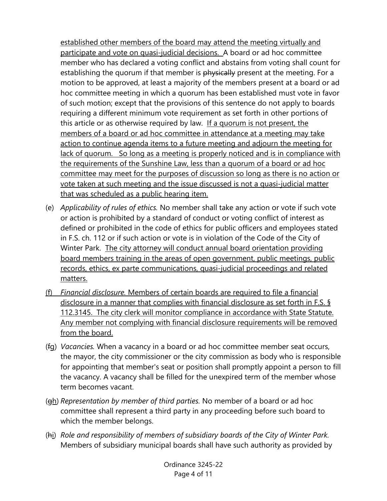established other members of the board may attend the meeting virtually and participate and vote on quasi-judicial decisions. A board or ad hoc committee member who has declared a voting conflict and abstains from voting shall count for establishing the quorum if that member is physically present at the meeting. For a motion to be approved, at least a majority of the members present at a board or ad hoc committee meeting in which a quorum has been established must vote in favor of such motion; except that the provisions of this sentence do not apply to boards requiring a different minimum vote requirement as set forth in other portions of this article or as otherwise required by law. If a quorum is not present, the members of a board or ad hoc committee in attendance at a meeting may take action to continue agenda items to a future meeting and adjourn the meeting for lack of quorum. So long as a meeting is properly noticed and is in compliance with the requirements of the Sunshine Law, less than a quorum of a board or ad hoc committee may meet for the purposes of discussion so long as there is no action or vote taken at such meeting and the issue discussed is not a quasi-judicial matter that was scheduled as a public hearing item.

- (e) *Applicability of rules of ethics.* No member shall take any action or vote if such vote or action is prohibited by a standard of conduct or voting conflict of interest as defined or prohibited in the code of ethics for public officers and employees stated in F.S. ch. 112 or if such action or vote is in violation of the Code of the City of Winter Park. The city attorney will conduct annual board orientation providing board members training in the areas of open government, public meetings, public records, ethics, ex parte communications, quasi-judicial proceedings and related matters.
- (f) *Financial disclosure.* Members of certain boards are required to file a financial disclosure in a manner that complies with financial disclosure as set forth in F.S. § 112.3145. The city clerk will monitor compliance in accordance with State Statute. Any member not complying with financial disclosure requirements will be removed from the board.
- (fg) *Vacancies.* When a vacancy in a board or ad hoc committee member seat occurs, the mayor, the city commissioner or the city commission as body who is responsible for appointing that member's seat or position shall promptly appoint a person to fill the vacancy. A vacancy shall be filled for the unexpired term of the member whose term becomes vacant.
- (gh) *Representation by member of third parties.* No member of a board or ad hoc committee shall represent a third party in any proceeding before such board to which the member belongs.
- (hi) *Role and responsibility of members of subsidiary boards of the City of Winter Park.* Members of subsidiary municipal boards shall have such authority as provided by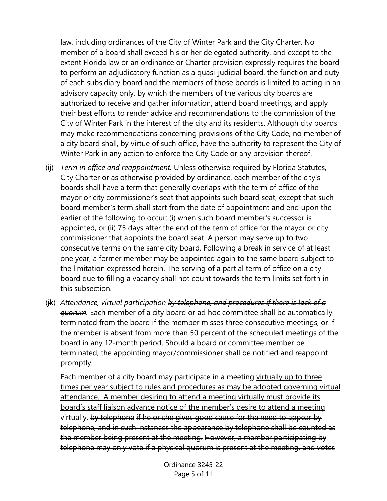law, including ordinances of the City of Winter Park and the City Charter. No member of a board shall exceed his or her delegated authority, and except to the extent Florida law or an ordinance or Charter provision expressly requires the board to perform an adjudicatory function as a quasi-judicial board, the function and duty of each subsidiary board and the members of those boards is limited to acting in an advisory capacity only, by which the members of the various city boards are authorized to receive and gather information, attend board meetings, and apply their best efforts to render advice and recommendations to the commission of the City of Winter Park in the interest of the city and its residents. Although city boards may make recommendations concerning provisions of the City Code, no member of a city board shall, by virtue of such office, have the authority to represent the City of Winter Park in any action to enforce the City Code or any provision thereof.

- (ij) *Term in office and reappointment.* Unless otherwise required by Florida Statutes, City Charter or as otherwise provided by ordinance, each member of the city's boards shall have a term that generally overlaps with the term of office of the mayor or city commissioner's seat that appoints such board seat, except that such board member's term shall start from the date of appointment and end upon the earlier of the following to occur: (i) when such board member's successor is appointed, or (ii) 75 days after the end of the term of office for the mayor or city commissioner that appoints the board seat. A person may serve up to two consecutive terms on the same city board. Following a break in service of at least one year, a former member may be appointed again to the same board subject to the limitation expressed herein. The serving of a partial term of office on a city board due to filling a vacancy shall not count towards the term limits set forth in this subsection.
- (jk) *Attendance, virtual participation by telephone, and procedures if there is lack of a quorum.* Each member of a city board or ad hoc committee shall be automatically terminated from the board if the member misses three consecutive meetings, or if the member is absent from more than 50 percent of the scheduled meetings of the board in any 12-month period. Should a board or committee member be terminated, the appointing mayor/commissioner shall be notified and reappoint promptly.

Each member of a city board may participate in a meeting virtually up to three times per year subject to rules and procedures as may be adopted governing virtual attendance. A member desiring to attend a meeting virtually must provide its board's staff liaison advance notice of the member's desire to attend a meeting virtually. by telephone if he or she gives good cause for the need to appear by telephone, and in such instances the appearance by telephone shall be counted as the member being present at the meeting. However, a member participating by telephone may only vote if a physical quorum is present at the meeting, and votes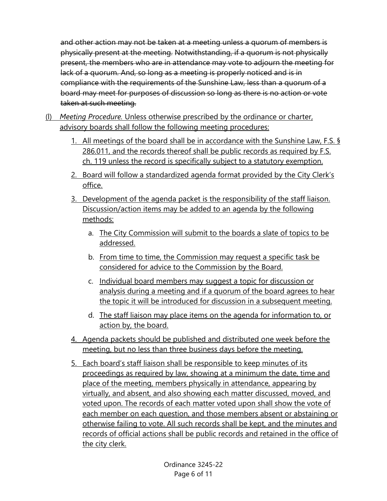and other action may not be taken at a meeting unless a quorum of members is physically present at the meeting. Notwithstanding, if a quorum is not physically present, the members who are in attendance may vote to adjourn the meeting for lack of a quorum. And, so long as a meeting is properly noticed and is in compliance with the requirements of the Sunshine Law, less than a quorum of a board may meet for purposes of discussion so long as there is no action or vote taken at such meeting.

- (l) *Meeting Procedure.* Unless otherwise prescribed by the ordinance or charter, advisory boards shall follow the following meeting procedures:
	- 1. All meetings of the board shall be in accordance with the Sunshine Law, F.S. § 286.011, and the records thereof shall be public records as required by F.S. ch. 119 unless the record is specifically subject to a statutory exemption.
	- 2. Board will follow a standardized agenda format provided by the City Clerk's office.
	- 3. Development of the agenda packet is the responsibility of the staff liaison. Discussion/action items may be added to an agenda by the following methods:
		- a. The City Commission will submit to the boards a slate of topics to be addressed.
		- b. From time to time, the Commission may request a specific task be considered for advice to the Commission by the Board.
		- c. Individual board members may suggest a topic for discussion or analysis during a meeting and if a quorum of the board agrees to hear the topic it will be introduced for discussion in a subsequent meeting.
		- d. The staff liaison may place items on the agenda for information to, or action by, the board.
	- 4. Agenda packets should be published and distributed one week before the meeting, but no less than three business days before the meeting.
	- 5. Each board's staff liaison shall be responsible to keep minutes of its proceedings as required by law, showing at a minimum the date, time and place of the meeting, members physically in attendance, appearing by virtually, and absent, and also showing each matter discussed, moved, and voted upon. The records of each matter voted upon shall show the vote of each member on each question, and those members absent or abstaining or otherwise failing to vote. All such records shall be kept, and the minutes and records of official actions shall be public records and retained in the office of the city clerk.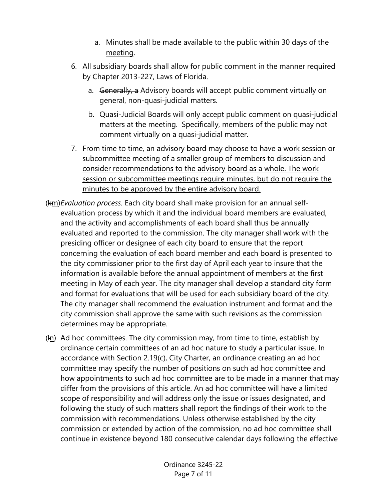- a. Minutes shall be made available to the public within 30 days of the meeting.
- 6. All subsidiary boards shall allow for public comment in the manner required by Chapter 2013-227, Laws of Florida.
	- a. Generally, a Advisory boards will accept public comment virtually on general, non-quasi-judicial matters.
	- b. Quasi-Judicial Boards will only accept public comment on quasi-judicial matters at the meeting. Specifically, members of the public may not comment virtually on a quasi-judicial matter.
- 7. From time to time, an advisory board may choose to have a work session or subcommittee meeting of a smaller group of members to discussion and consider recommendations to the advisory board as a whole. The work session or subcommittee meetings require minutes, but do not require the minutes to be approved by the entire advisory board.
- (km) *Evaluation process.* Each city board shall make provision for an annual selfevaluation process by which it and the individual board members are evaluated, and the activity and accomplishments of each board shall thus be annually evaluated and reported to the commission. The city manager shall work with the presiding officer or designee of each city board to ensure that the report concerning the evaluation of each board member and each board is presented to the city commissioner prior to the first day of April each year to insure that the information is available before the annual appointment of members at the first meeting in May of each year. The city manager shall develop a standard city form and format for evaluations that will be used for each subsidiary board of the city. The city manager shall recommend the evaluation instrument and format and the city commission shall approve the same with such revisions as the commission determines may be appropriate.
- (ln) Ad hoc committees. The city commission may, from time to time, establish by ordinance certain committees of an ad hoc nature to study a particular issue. In accordance with Section 2.19(c), City Charter, an ordinance creating an ad hoc committee may specify the number of positions on such ad hoc committee and how appointments to such ad hoc committee are to be made in a manner that may differ from the provisions of this article. An ad hoc committee will have a limited scope of responsibility and will address only the issue or issues designated, and following the study of such matters shall report the findings of their work to the commission with recommendations. Unless otherwise established by the city commission or extended by action of the commission, no ad hoc committee shall continue in existence beyond 180 consecutive calendar days following the effective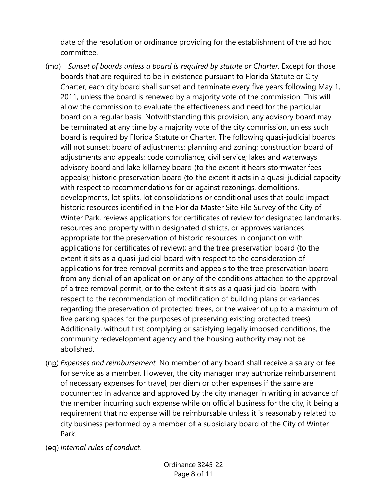date of the resolution or ordinance providing for the establishment of the ad hoc committee.

- (mo) *Sunset of boards unless a board is required by statute or Charter.* Except for those boards that are required to be in existence pursuant to Florida Statute or City Charter, each city board shall sunset and terminate every five years following May 1, 2011, unless the board is renewed by a majority vote of the commission. This will allow the commission to evaluate the effectiveness and need for the particular board on a regular basis. Notwithstanding this provision, any advisory board may be terminated at any time by a majority vote of the city commission, unless such board is required by Florida Statute or Charter. The following quasi-judicial boards will not sunset: board of adjustments; planning and zoning; construction board of adjustments and appeals; code compliance; civil service; lakes and waterways advisory board and lake killarney board (to the extent it hears stormwater fees appeals); historic preservation board (to the extent it acts in a quasi-judicial capacity with respect to recommendations for or against rezonings, demolitions, developments, lot splits, lot consolidations or conditional uses that could impact historic resources identified in the Florida Master Site File Survey of the City of Winter Park, reviews applications for certificates of review for designated landmarks, resources and property within designated districts, or approves variances appropriate for the preservation of historic resources in conjunction with applications for certificates of review); and the tree preservation board (to the extent it sits as a quasi-judicial board with respect to the consideration of applications for tree removal permits and appeals to the tree preservation board from any denial of an application or any of the conditions attached to the approval of a tree removal permit, or to the extent it sits as a quasi-judicial board with respect to the recommendation of modification of building plans or variances regarding the preservation of protected trees, or the waiver of up to a maximum of five parking spaces for the purposes of preserving existing protected trees). Additionally, without first complying or satisfying legally imposed conditions, the community redevelopment agency and the housing authority may not be abolished.
- (np) *Expenses and reimbursement.* No member of any board shall receive a salary or fee for service as a member. However, the city manager may authorize reimbursement of necessary expenses for travel, per diem or other expenses if the same are documented in advance and approved by the city manager in writing in advance of the member incurring such expense while on official business for the city, it being a requirement that no expense will be reimbursable unless it is reasonably related to city business performed by a member of a subsidiary board of the City of Winter Park.
- (oq) *Internal rules of conduct.*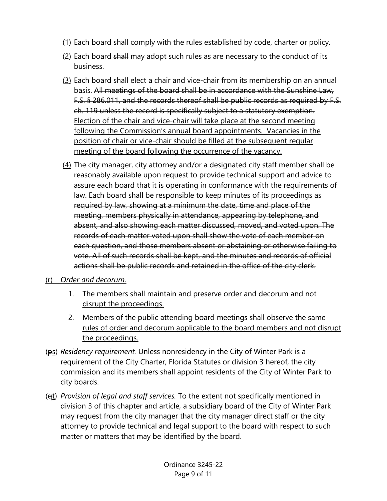- (1) Each board shall comply with the rules established by code, charter or policy.
- (2) Each board shall may adopt such rules as are necessary to the conduct of its business.
- (3) Each board shall elect a chair and vice-chair from its membership on an annual basis. All meetings of the board shall be in accordance with the Sunshine Law, F.S. § 286.011, and the records thereof shall be public records as required by F.S. ch. 119 unless the record is specifically subject to a statutory exemption. Election of the chair and vice-chair will take place at the second meeting following the Commission's annual board appointments. Vacancies in the position of chair or vice-chair should be filled at the subsequent regular meeting of the board following the occurrence of the vacancy.
- (4) The city manager, city attorney and/or a designated city staff member shall be reasonably available upon request to provide technical support and advice to assure each board that it is operating in conformance with the requirements of law. Each board shall be responsible to keep minutes of its proceedings as required by law, showing at a minimum the date, time and place of the meeting, members physically in attendance, appearing by telephone, and absent, and also showing each matter discussed, moved, and voted upon. The records of each matter voted upon shall show the vote of each member on each question, and those members absent or abstaining or otherwise failing to vote. All of such records shall be kept, and the minutes and records of official actions shall be public records and retained in the office of the city clerk.

## (r) *Order and decorum*.

- 1. The members shall maintain and preserve order and decorum and not disrupt the proceedings.
- 2. Members of the public attending board meetings shall observe the same rules of order and decorum applicable to the board members and not disrupt the proceedings.
- (ps) *Residency requirement.* Unless nonresidency in the City of Winter Park is a requirement of the City Charter, Florida Statutes or division 3 hereof, the city commission and its members shall appoint residents of the City of Winter Park to city boards.
- (qt) *Provision of legal and staff services.* To the extent not specifically mentioned in division 3 of this chapter and article, a subsidiary board of the City of Winter Park may request from the city manager that the city manager direct staff or the city attorney to provide technical and legal support to the board with respect to such matter or matters that may be identified by the board.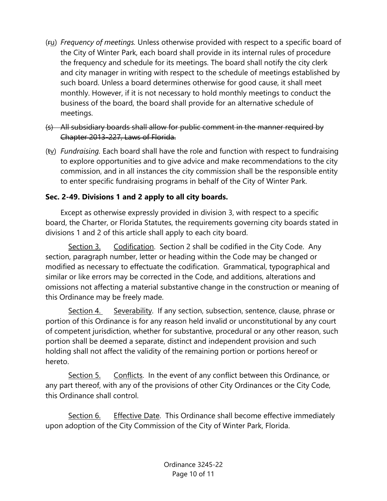- (ru) *Frequency of meetings.* Unless otherwise provided with respect to a specific board of the City of Winter Park, each board shall provide in its internal rules of procedure the frequency and schedule for its meetings. The board shall notify the city clerk and city manager in writing with respect to the schedule of meetings established by such board. Unless a board determines otherwise for good cause, it shall meet monthly. However, if it is not necessary to hold monthly meetings to conduct the business of the board, the board shall provide for an alternative schedule of meetings.
- (s) All subsidiary boards shall allow for public comment in the manner required by Chapter 2013-227, Laws of Florida.
- (tv) *Fundraising.* Each board shall have the role and function with respect to fundraising to explore opportunities and to give advice and make recommendations to the city commission, and in all instances the city commission shall be the responsible entity to enter specific fundraising programs in behalf of the City of Winter Park.

# **Sec. 2-49. Divisions 1 and 2 apply to all city boards.**

Except as otherwise expressly provided in division 3, with respect to a specific board, the Charter, or Florida Statutes, the requirements governing city boards stated in divisions 1 and 2 of this article shall apply to each city board.

Section 3. Codification. Section 2 shall be codified in the City Code. Any section, paragraph number, letter or heading within the Code may be changed or modified as necessary to effectuate the codification. Grammatical, typographical and similar or like errors may be corrected in the Code, and additions, alterations and omissions not affecting a material substantive change in the construction or meaning of this Ordinance may be freely made.

Section 4. Severability. If any section, subsection, sentence, clause, phrase or portion of this Ordinance is for any reason held invalid or unconstitutional by any court of competent jurisdiction, whether for substantive, procedural or any other reason, such portion shall be deemed a separate, distinct and independent provision and such holding shall not affect the validity of the remaining portion or portions hereof or hereto.

Section 5. Conflicts. In the event of any conflict between this Ordinance, or any part thereof, with any of the provisions of other City Ordinances or the City Code, this Ordinance shall control.

Section 6. Effective Date. This Ordinance shall become effective immediately upon adoption of the City Commission of the City of Winter Park, Florida.